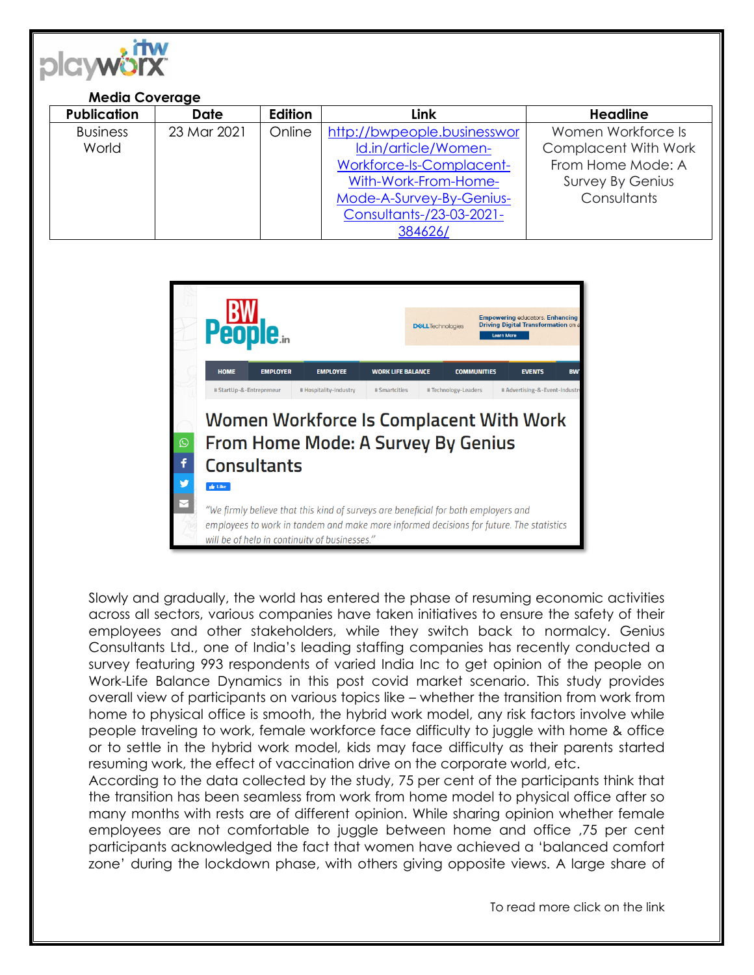

## **Media Coverage**

| <b>Publication</b> | <b>Date</b> | Edition | Link                        | <b>Headline</b>             |
|--------------------|-------------|---------|-----------------------------|-----------------------------|
| <b>Business</b>    | 23 Mar 2021 | Online  | http://bwpeople.businesswor | Women Workforce Is          |
| World              |             |         | Id.in/article/Women-        | <b>Complacent With Work</b> |
|                    |             |         | Workforce-Is-Complacent-    | From Home Mode: A           |
|                    |             |         | With-Work-From-Home-        | Survey By Genius            |
|                    |             |         | Mode-A-Survey-By-Genius-    | Consultants                 |
|                    |             |         | Consultants-/23-03-2021-    |                             |
|                    |             |         | 384626/                     |                             |



Slowly and gradually, the world has entered the phase of resuming economic activities across all sectors, various companies have taken initiatives to ensure the safety of their employees and other stakeholders, while they switch back to normalcy. Genius Consultants Ltd., one of India's leading staffing companies has recently conducted a survey featuring 993 respondents of varied India Inc to get opinion of the people on Work-Life Balance Dynamics in this post covid market scenario. This study provides overall view of participants on various topics like – whether the transition from work from home to physical office is smooth, the hybrid work model, any risk factors involve while people traveling to work, female workforce face difficulty to juggle with home & office or to settle in the hybrid work model, kids may face difficulty as their parents started resuming work, the effect of vaccination drive on the corporate world, etc.

According to the data collected by the study, 75 per cent of the participants think that the transition has been seamless from work from home model to physical office after so many months with rests are of different opinion. While sharing opinion whether female employees are not comfortable to juggle between home and office ,75 per cent participants acknowledged the fact that women have achieved a 'balanced comfort zone' during the lockdown phase, with others giving opposite views. A large share of

To read more click on the link